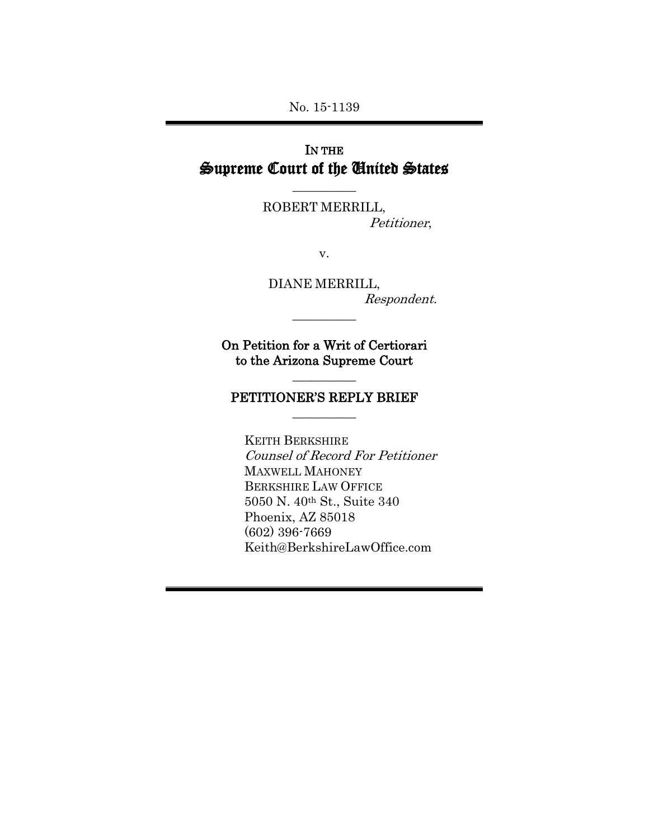No. 15-1139

# IN THE Supreme Court of the United States

 $\overline{\phantom{a}}$ 

ROBERT MERRILL, Petitioner,

v.

DIANE MERRILL, Respondent.

On Petition for a Writ of Certiorari to the Arizona Supreme Court

 $\overline{\phantom{a}}$ 

 $\overline{\phantom{a}}$ 

## PETITIONER'S REPLY BRIEF  $\overline{\phantom{a}}$

KEITH BERKSHIRE Counsel of Record For Petitioner MAXWELL MAHONEY BERKSHIRE LAW OFFICE 5050 N. 40th St., Suite 340 Phoenix, AZ 85018 (602) 396-7669 Keith@BerkshireLawOffice.com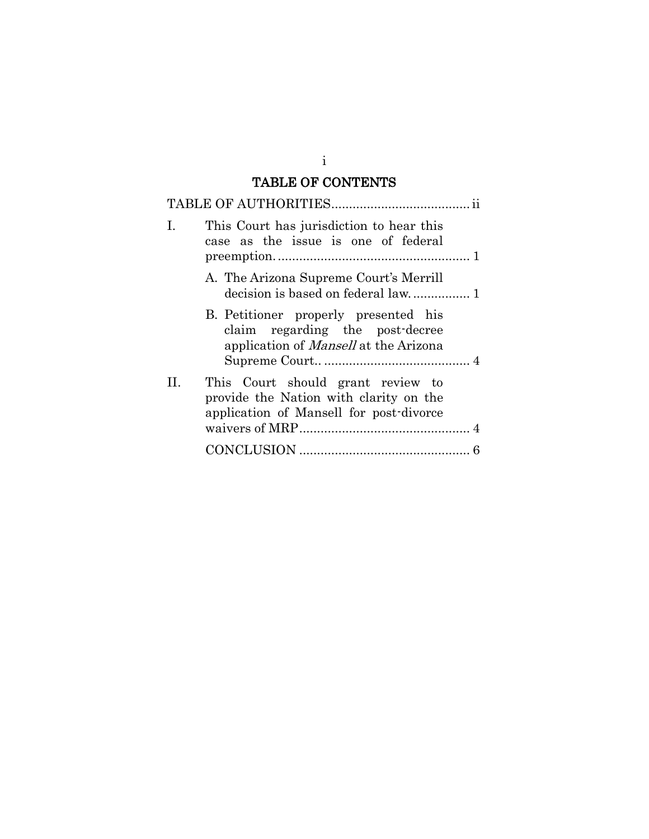### TABLE OF CONTENTS

| L  | This Court has jurisdiction to hear this<br>case as the issue is one of federal                                         |
|----|-------------------------------------------------------------------------------------------------------------------------|
|    | A. The Arizona Supreme Court's Merrill                                                                                  |
|    | B. Petitioner properly presented his<br>claim regarding the post-decree<br>application of <i>Mansell</i> at the Arizona |
| Н. | This Court should grant review to<br>provide the Nation with clarity on the<br>application of Mansell for post-divorce  |
|    |                                                                                                                         |

i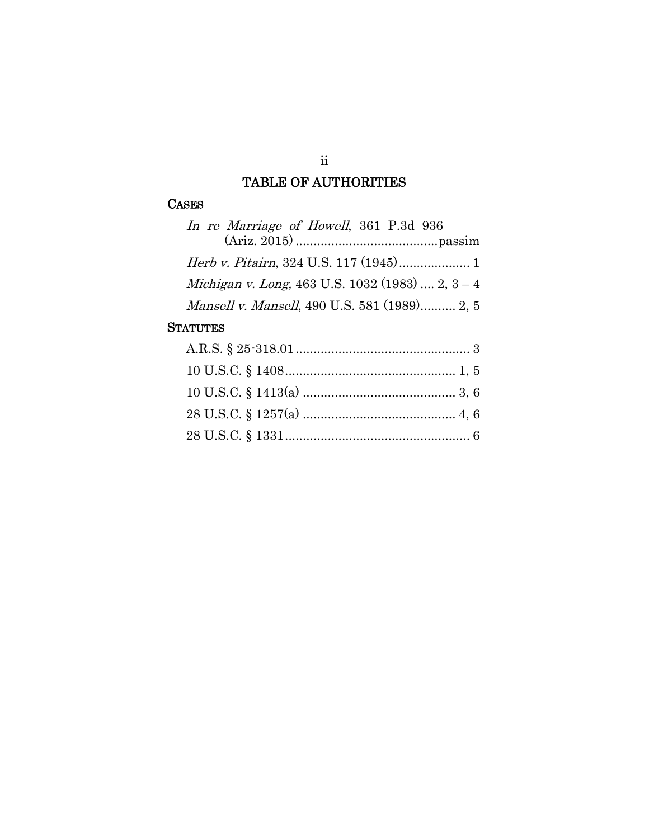### TABLE OF AUTHORITIES

#### **CASES**

| In re Marriage of Howell, 361 P.3d 936           |
|--------------------------------------------------|
|                                                  |
|                                                  |
| Michigan v. Long, 463 U.S. 1032 (1983)  2, 3 - 4 |
| Mansell v. Mansell, 490 U.S. 581 (1989) 2, 5     |

#### **STATUTES**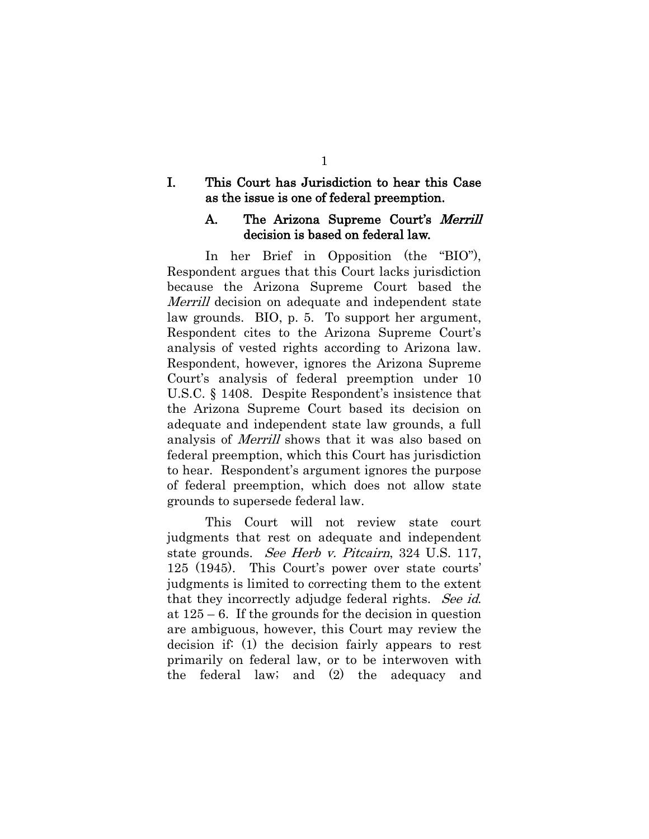#### I. This Court has Jurisdiction to hear this Case as the issue is one of federal preemption.

#### A. The Arizona Supreme Court's Merrill decision is based on federal law.

In her Brief in Opposition (the "BIO"), Respondent argues that this Court lacks jurisdiction because the Arizona Supreme Court based the Merrill decision on adequate and independent state law grounds. BIO, p. 5. To support her argument, Respondent cites to the Arizona Supreme Court's analysis of vested rights according to Arizona law. Respondent, however, ignores the Arizona Supreme Court's analysis of federal preemption under 10 U.S.C. § 1408. Despite Respondent's insistence that the Arizona Supreme Court based its decision on adequate and independent state law grounds, a full analysis of Merrill shows that it was also based on federal preemption, which this Court has jurisdiction to hear. Respondent's argument ignores the purpose of federal preemption, which does not allow state grounds to supersede federal law.

This Court will not review state court judgments that rest on adequate and independent state grounds. See Herb v. Pitcairn, 324 U.S. 117, 125 (1945). This Court's power over state courts' judgments is limited to correcting them to the extent that they incorrectly adjudge federal rights. See id. at 125 – 6. If the grounds for the decision in question are ambiguous, however, this Court may review the decision if: (1) the decision fairly appears to rest primarily on federal law, or to be interwoven with the federal law; and (2) the adequacy and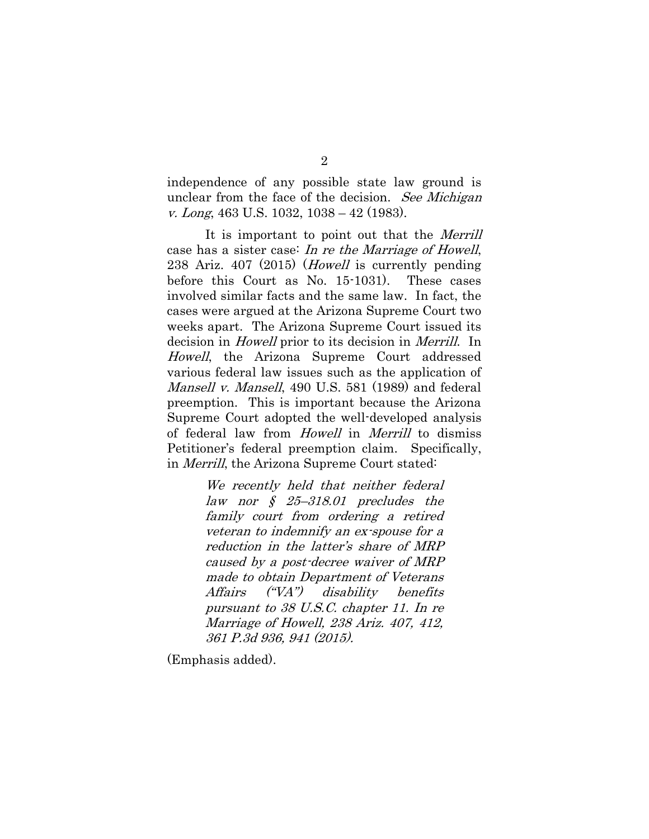independence of any possible state law ground is unclear from the face of the decision. See Michigan v. Long, 463 U.S. 1032, 1038 – 42 (1983).

It is important to point out that the *Merrill* case has a sister case: In re the Marriage of Howell, 238 Ariz. 407 (2015) (*Howell* is currently pending before this Court as No. 15-1031). These cases involved similar facts and the same law. In fact, the cases were argued at the Arizona Supreme Court two weeks apart. The Arizona Supreme Court issued its decision in Howell prior to its decision in Merrill. In Howell, the Arizona Supreme Court addressed various federal law issues such as the application of Mansell v. Mansell, 490 U.S. 581 (1989) and federal preemption. This is important because the Arizona Supreme Court adopted the well-developed analysis of federal law from Howell in Merrill to dismiss Petitioner's federal preemption claim. Specifically, in Merrill, the Arizona Supreme Court stated:

> We recently held that neither federal law nor  $\zeta$  25-318.01 precludes the family court from ordering a retired veteran to indemnify an ex-spouse for a reduction in the latter's share of MRP caused by a post-decree waiver of MRP made to obtain Department of Veterans Affairs ("VA") disability benefits pursuant to 38 U.S.C. chapter 11. [In re](http://www.westlaw.com/Link/Document/FullText?findType=Y&serNum=2037722610&pubNum=0004645&originatingDoc=Ia426466aa34911e5a807ad48145ed9f1&refType=RP&fi=co_pp_sp_4645_941&originationContext=document&vr=3.0&rs=cblt1.0&transitionType=DocumentItem&contextData=(sc.Search)#co_pp_sp_4645_941)  [Marriage of Howell, 238 Ariz. 407, 412,](http://www.westlaw.com/Link/Document/FullText?findType=Y&serNum=2037722610&pubNum=0004645&originatingDoc=Ia426466aa34911e5a807ad48145ed9f1&refType=RP&fi=co_pp_sp_4645_941&originationContext=document&vr=3.0&rs=cblt1.0&transitionType=DocumentItem&contextData=(sc.Search)#co_pp_sp_4645_941)  [361 P.3d 936, 941 \(2015\).](http://www.westlaw.com/Link/Document/FullText?findType=Y&serNum=2037722610&pubNum=0004645&originatingDoc=Ia426466aa34911e5a807ad48145ed9f1&refType=RP&fi=co_pp_sp_4645_941&originationContext=document&vr=3.0&rs=cblt1.0&transitionType=DocumentItem&contextData=(sc.Search)#co_pp_sp_4645_941)

(Emphasis added).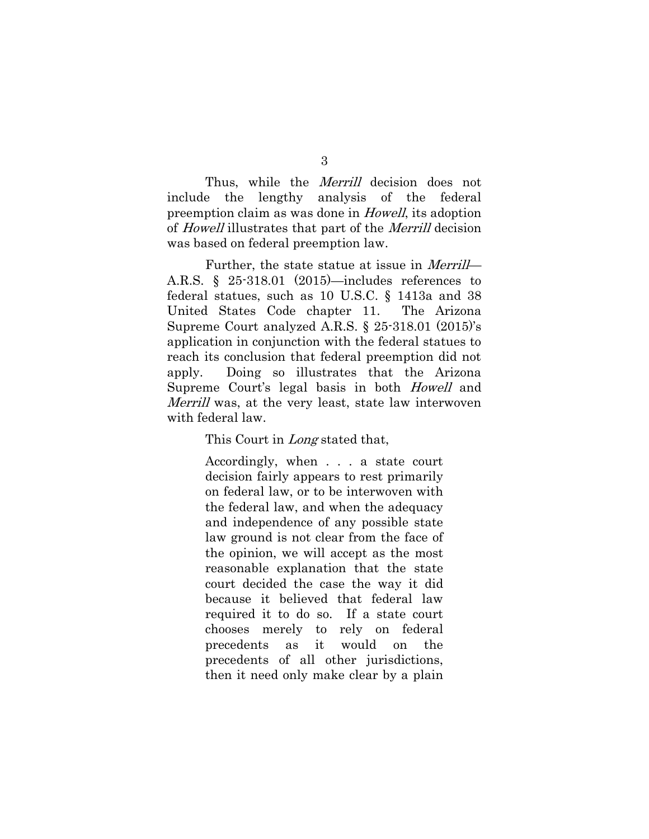Thus, while the *Merrill* decision does not include the lengthy analysis of the federal preemption claim as was done in Howell, its adoption of Howell illustrates that part of the Merrill decision was based on federal preemption law.

3

Further, the state statue at issue in *Merrill*— A.R.S. § 25-318.01 (2015)—includes references to federal statues, such as 10 U.S.C. § 1413a and 38 United States Code chapter 11. The Arizona Supreme Court analyzed A.R.S. § 25-318.01 (2015)'s application in conjunction with the federal statues to reach its conclusion that federal preemption did not apply. Doing so illustrates that the Arizona Supreme Court's legal basis in both Howell and Merrill was, at the very least, state law interwoven with federal law.

This Court in *Long* stated that,

Accordingly, when . . . a state court decision fairly appears to rest primarily on federal law, or to be interwoven with the federal law, and when the adequacy and independence of any possible state law ground is not clear from the face of the opinion, we will accept as the most reasonable explanation that the state court decided the case the way it did because it believed that federal law required it to do so. If a state court chooses merely to rely on federal precedents as it would on the precedents of all other jurisdictions, then it need only make clear by a plain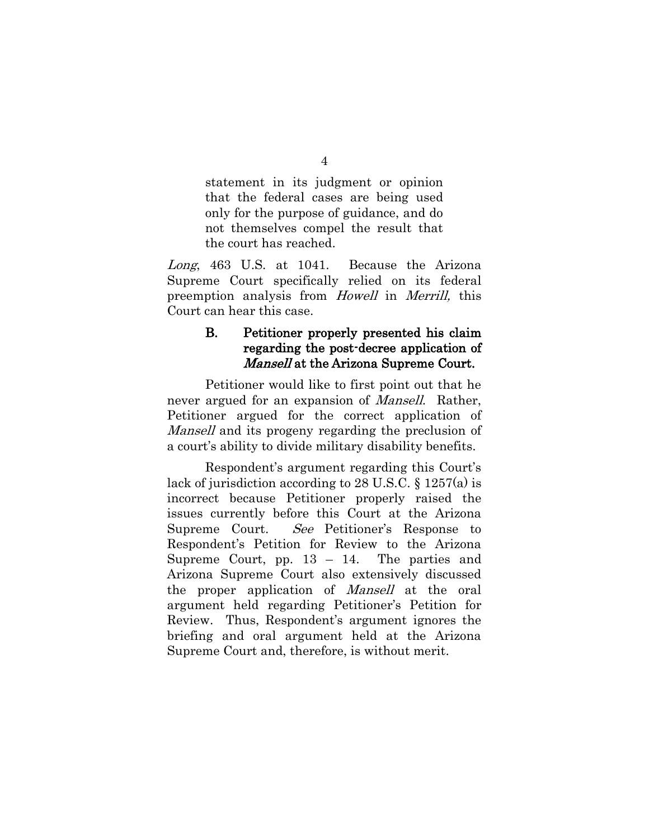statement in its judgment or opinion that the federal cases are being used only for the purpose of guidance, and do not themselves compel the result that the court has reached.

Long, 463 U.S. at 1041. Because the Arizona Supreme Court specifically relied on its federal preemption analysis from Howell in Merrill, this Court can hear this case.

### B. Petitioner properly presented his claim regarding the post-decree application of Mansell at the Arizona Supreme Court.

Petitioner would like to first point out that he never argued for an expansion of *Mansell*. Rather, Petitioner argued for the correct application of Mansell and its progeny regarding the preclusion of a court's ability to divide military disability benefits.

Respondent's argument regarding this Court's lack of jurisdiction according to 28 U.S.C. § 1257(a) is incorrect because Petitioner properly raised the issues currently before this Court at the Arizona Supreme Court. See Petitioner's Response to Respondent's Petition for Review to the Arizona Supreme Court, pp. 13 – 14. The parties and Arizona Supreme Court also extensively discussed the proper application of Mansell at the oral argument held regarding Petitioner's Petition for Review. Thus, Respondent's argument ignores the briefing and oral argument held at the Arizona Supreme Court and, therefore, is without merit.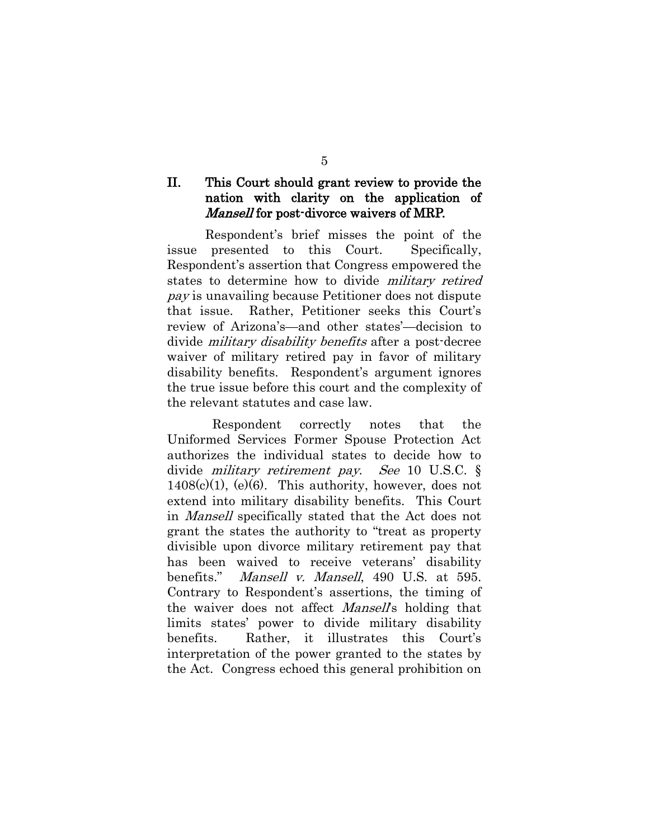#### II. This Court should grant review to provide the nation with clarity on the application of Mansell for post-divorce waivers of MRP.

Respondent's brief misses the point of the issue presented to this Court. Specifically, Respondent's assertion that Congress empowered the states to determine how to divide military retired pay is unavailing because Petitioner does not dispute that issue. Rather, Petitioner seeks this Court's review of Arizona's—and other states'—decision to divide *military disability benefits* after a post-decree waiver of military retired pay in favor of military disability benefits. Respondent's argument ignores the true issue before this court and the complexity of the relevant statutes and case law.

 Respondent correctly notes that the Uniformed Services Former Spouse Protection Act authorizes the individual states to decide how to divide military retirement pay. See 10 U.S.C. §  $1408(c)(1)$ , (e)(6). This authority, however, does not extend into military disability benefits. This Court in Mansell specifically stated that the Act does not grant the states the authority to "treat as property divisible upon divorce military retirement pay that has been waived to receive veterans' disability benefits." *Mansell v. Mansell*, 490 U.S. at 595. Contrary to Respondent's assertions, the timing of the waiver does not affect *Mansell*'s holding that limits states' power to divide military disability benefits. Rather, it illustrates this Court's interpretation of the power granted to the states by the Act. Congress echoed this general prohibition on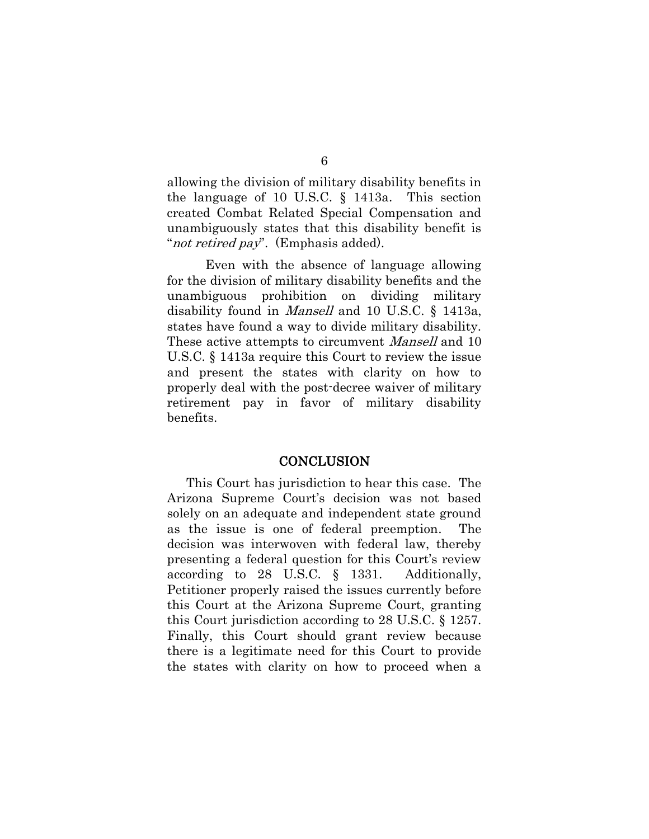allowing the division of military disability benefits in the language of 10 U.S.C. § 1413a. This section created Combat Related Special Compensation and unambiguously states that this disability benefit is "*not retired pay*". (Emphasis added).

Even with the absence of language allowing for the division of military disability benefits and the unambiguous prohibition on dividing military disability found in Mansell and 10 U.S.C. § 1413a, states have found a way to divide military disability. These active attempts to circumvent *Mansell* and 10 U.S.C. § 1413a require this Court to review the issue and present the states with clarity on how to properly deal with the post-decree waiver of military retirement pay in favor of military disability benefits.

#### **CONCLUSION**

This Court has jurisdiction to hear this case. The Arizona Supreme Court's decision was not based solely on an adequate and independent state ground as the issue is one of federal preemption. The decision was interwoven with federal law, thereby presenting a federal question for this Court's review according to 28 U.S.C. § 1331. Additionally, Petitioner properly raised the issues currently before this Court at the Arizona Supreme Court, granting this Court jurisdiction according to 28 U.S.C. § 1257. Finally, this Court should grant review because there is a legitimate need for this Court to provide the states with clarity on how to proceed when a